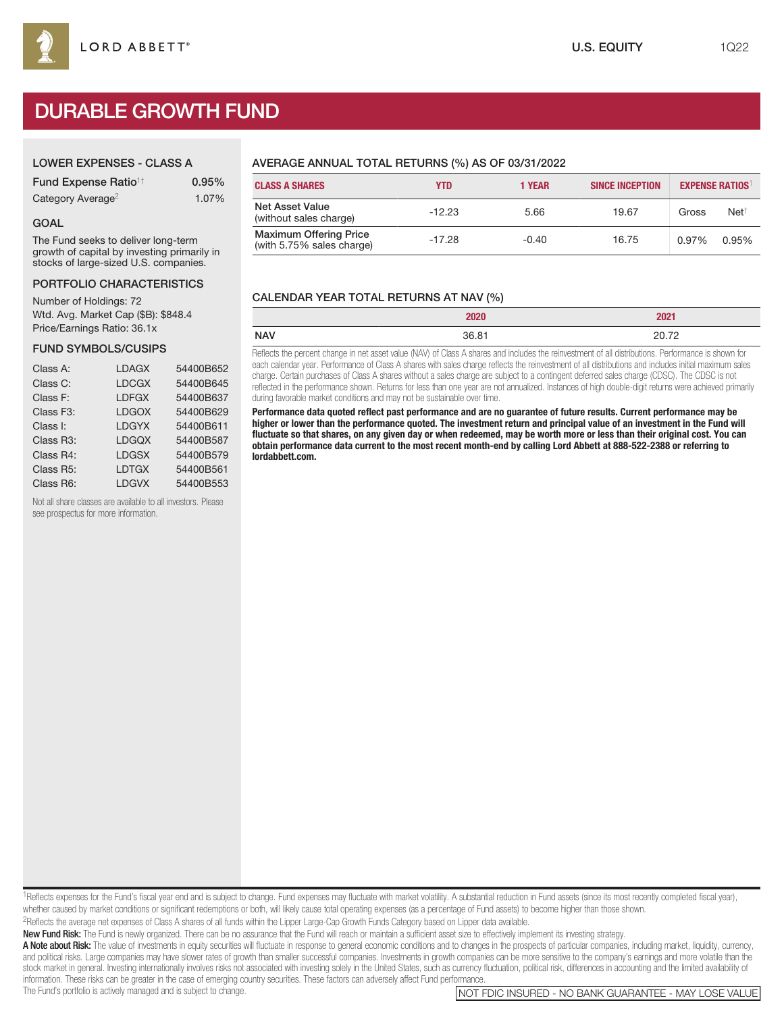# DURABLE GROWTH FUND

#### LOWER EXPENSES - CLASS A

| Fund Expense Ratio <sup>1†</sup> | 0.95% |
|----------------------------------|-------|
| Category Average <sup>2</sup>    | 1.07% |

#### GOAL

The Fund seeks to deliver long-term growth of capital by investing primarily in stocks of large-sized U.S. companies.

#### PORTFOLIO CHARACTERISTICS

Number of Holdings: 72 Wtd. Avg. Market Cap (\$B): \$848.4 Price/Earnings Ratio: 36.1x

#### FUND SYMBOLS/CUSIPS

| Class A:  | <b>LDAGX</b> | 54400B652 |
|-----------|--------------|-----------|
| Class C:  | <b>LDCGX</b> | 54400B645 |
| Class F:  | <b>LDFGX</b> | 54400B637 |
| Class F3: | <b>LDGOX</b> | 54400B629 |
| Class I:  | <b>LDGYX</b> | 54400B611 |
| Class R3: | <b>LDGQX</b> | 54400B587 |
| Class R4: | <b>LDGSX</b> | 54400B579 |
| Class R5: | <b>LDTGX</b> | 54400B561 |
| Class R6: | <b>LDGVX</b> | 54400B553 |

Not all share classes are available to all investors. Please see prospectus for more information.

# AVERAGE ANNUAL TOTAL RETURNS (%) AS OF 03/31/2022

| <b>CLASS A SHARES</b>                                      | <b>YTD</b> | 1 YEAR  | <b>SINCE INCEPTION</b> | <b>EXPENSE RATIOS</b> |                 |
|------------------------------------------------------------|------------|---------|------------------------|-----------------------|-----------------|
| <b>Net Asset Value</b><br>(without sales charge)           | $-12.23$   | 5.66    | 19.67                  | Gross                 | $Net^{\dagger}$ |
| <b>Maximum Offering Price</b><br>(with 5.75% sales charge) | $-17.28$   | $-0.40$ | 16.75                  | 0.97%                 | 0.95%           |

## CALENDAR YEAR TOTAL RETURNS AT NAV (%)

|            | 2020              | 202 <sup>4</sup> |
|------------|-------------------|------------------|
| <b>NAV</b> | 36.8 <sup>2</sup> | מד ממ<br>.       |
|            |                   |                  |

Reflects the percent change in net asset value (NAV) of Class A shares and includes the reinvestment of all distributions. Performance is shown for each calendar year. Performance of Class A shares with sales charge reflects the reinvestment of all distributions and includes initial maximum sales charge. Certain purchases of Class A shares without a sales charge are subject to a contingent deferred sales charge (CDSC). The CDSC is not reflected in the performance shown. Returns for less than one year are not annualized. Instances of high double-digit returns were achieved primarily during favorable market conditions and may not be sustainable over time.

**Performance data quoted reflect past performance and are no guarantee of future results. Current performance may be higher or lower than the performance quoted. The investment return and principal value of an investment in the Fund will fluctuate so that shares, on any given day or when redeemed, may be worth more or less than their original cost. You can obtain performance data current to the most recent month-end by calling Lord Abbett at 888-522-2388 or referring to lordabbett.com.**

<sup>1</sup>Reflects expenses for the Fund's fiscal year end and is subject to change. Fund expenses may fluctuate with market volatility. A substantial reduction in Fund assets (since its most recently completed fiscal year), whether caused by market conditions or significant redemptions or both, will likely cause total operating expenses (as a percentage of Fund assets) to become higher than those shown.

2Reflects the average net expenses of Class A shares of all funds within the Lipper Large-Cap Growth Funds Category based on Lipper data available.

New Fund Risk: The Fund is newly organized. There can be no assurance that the Fund will reach or maintain a sufficient asset size to effectively implement its investing strategy.

A Note about Risk: The value of investments in equity securities will fluctuate in response to general economic conditions and to changes in the prospects of particular companies, including market, liquidity, currency, and political risks. Large companies may have slower rates of growth than smaller successful companies. Investments in growth companies can be more sensitive to the company's earnings and more volatile than the stock market in general. Investing internationally involves risks not associated with investing solely in the United States, such as currency fluctuation, political risk, differences in accounting and the limited availabil information. These risks can be greater in the case of emerging country securities. These factors can adversely affect Fund performance.